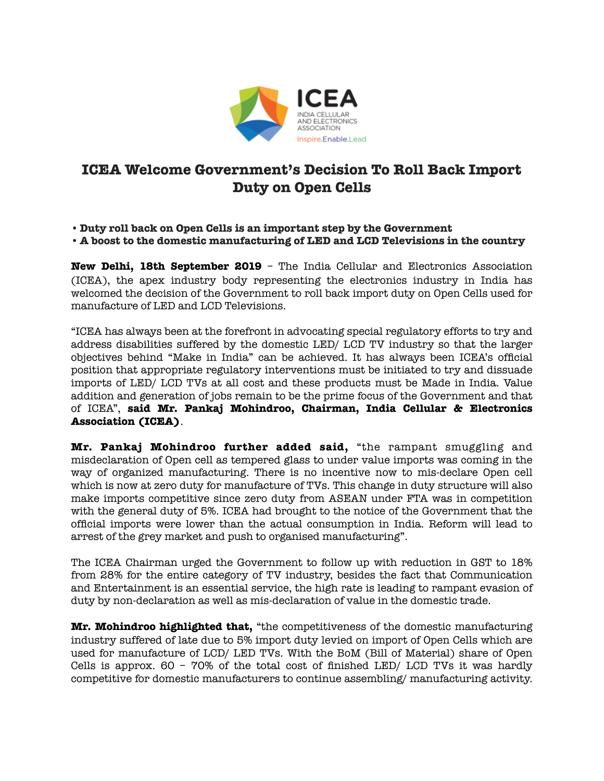

## **ICEA Welcome Government's Decision To Roll Back Import Duty on Open Cells**

- **• Duty roll back on Open Cells is an important step by the Government**
- **• A boost to the domestic manufacturing of LED and LCD Televisions in the country**

**New Delhi, 18th September 2019** – The India Cellular and Electronics Association (ICEA), the apex industry body representing the electronics industry in India has welcomed the decision of the Government to roll back import duty on Open Cells used for manufacture of LED and LCD Televisions.

"ICEA has always been at the forefront in advocating special regulatory efforts to try and address disabilities suffered by the domestic LED/ LCD TV industry so that the larger objectives behind "Make in India" can be achieved. It has always been ICEA's official position that appropriate regulatory interventions must be initiated to try and dissuade imports of LED/ LCD TVs at all cost and these products must be Made in India. Value addition and generation of jobs remain to be the prime focus of the Government and that of ICEA", **said Mr. Pankaj Mohindroo, Chairman, India Cellular & Electronics Association (ICEA)**.

**Mr. Pankaj Mohindroo further added said,** "the rampant smuggling and misdeclaration of Open cell as tempered glass to under value imports was coming in the way of organized manufacturing. There is no incentive now to mis-declare Open cell which is now at zero duty for manufacture of TVs. This change in duty structure will also make imports competitive since zero duty from ASEAN under FTA was in competition with the general duty of 5%. ICEA had brought to the notice of the Government that the official imports were lower than the actual consumption in India. Reform will lead to arrest of the grey market and push to organised manufacturing".

The ICEA Chairman urged the Government to follow up with reduction in GST to 18% from 28% for the entire category of TV industry, besides the fact that Communication and Entertainment is an essential service, the high rate is leading to rampant evasion of duty by non-declaration as well as mis-declaration of value in the domestic trade.

**Mr. Mohindroo highlighted that,** "the competitiveness of the domestic manufacturing industry suffered of late due to 5% import duty levied on import of Open Cells which are used for manufacture of LCD/ LED TVs. With the BoM (Bill of Material) share of Open Cells is approx. 60 – 70% of the total cost of finished LED/ LCD TVs it was hardly competitive for domestic manufacturers to continue assembling/ manufacturing activity.